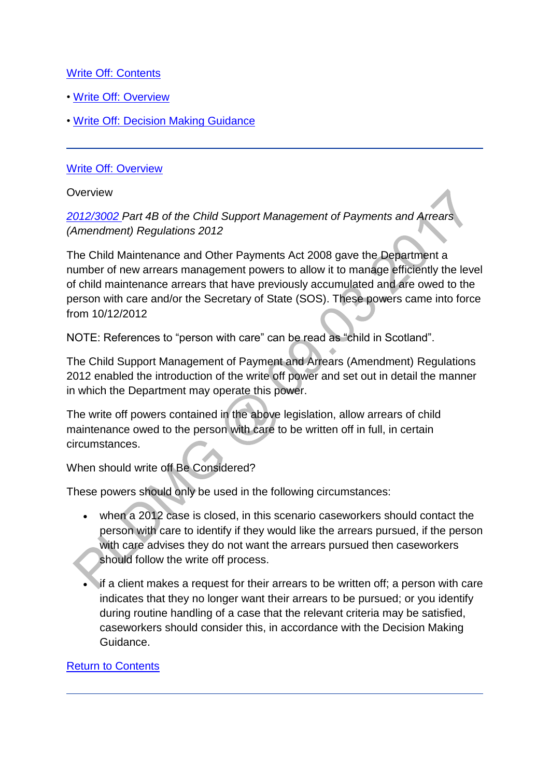## [Write Off: Contents](http://np-cmg-sharepoint.link2.gpn.gov.uk/sites/policy-law-and-decision-making-guidance/Pages/Write-Off-and-Case-Closure-Write-Off.aspx?ControlMode=Edit&DisplayMode=Design)

- • [Write Off: Overview](http://np-cmg-sharepoint.link2.gpn.gov.uk/sites/policy-law-and-decision-making-guidance/Pages/Write-Off-and-Case-Closure-Write-Off.aspx#Write%20Off%3a%20Overview)
- • [Write Off: Decision Making Guidance](http://np-cmg-sharepoint.link2.gpn.gov.uk/sites/policy-law-and-decision-making-guidance/Pages/Write-Off-and-Case-Closure-Write-Off.aspx#Write%20Off%3a%20Decision%20Making%20Guidance)

### [Write Off: Overview](http://np-cmg-sharepoint.link2.gpn.gov.uk/sites/policy-law-and-decision-making-guidance/Pages/Write-Off-and-Case-Closure-Write-Off.aspx)

**Overview** 

*[2012/3002 P](http://www.legislation.gov.uk/uksi/2012/3002/contents/made)art 4B of the Child Support Management of Payments and Arrears (Amendment) Regulations 2012*

The Child Maintenance and Other Payments Act 2008 gave the Department a number of new arrears management powers to allow it to manage efficiently the level of child maintenance arrears that have previously accumulated and are owed to the person with care and/or the Secretary of State (SOS). These powers came into force from 10/12/2012

NOTE: References to "person with care" can be read as "child in Scotland".

The Child Support Management of Payment and Arrears (Amendment) Regulations 2012 enabled the introduction of the write off power and set out in detail the manner in which the Department may operate this power.

The write off powers contained in the above legislation, allow arrears of child maintenance owed to the person with care to be written off in full, in certain circumstances.

When should write off Be Considered?

These powers should only be used in the following circumstances:

- when a 2012 case is closed, in this scenario caseworkers should contact the person with care to identify if they would like the arrears pursued, if the person with care advises they do not want the arrears pursued then caseworkers should follow the write off process.
- if a client makes a request for their arrears to be written off; a person with care indicates that they no longer want their arrears to be pursued; or you identify during routine handling of a case that the relevant criteria may be satisfied, caseworkers should consider this, in accordance with the Decision Making Guidance.

### [Return to Contents](http://np-cmg-sharepoint.link2.gpn.gov.uk/sites/policy-law-and-decision-making-guidance/Pages/Write-Off-and-Case-Closure-Write-Off.aspx#Write%20Off%3a%20Contents)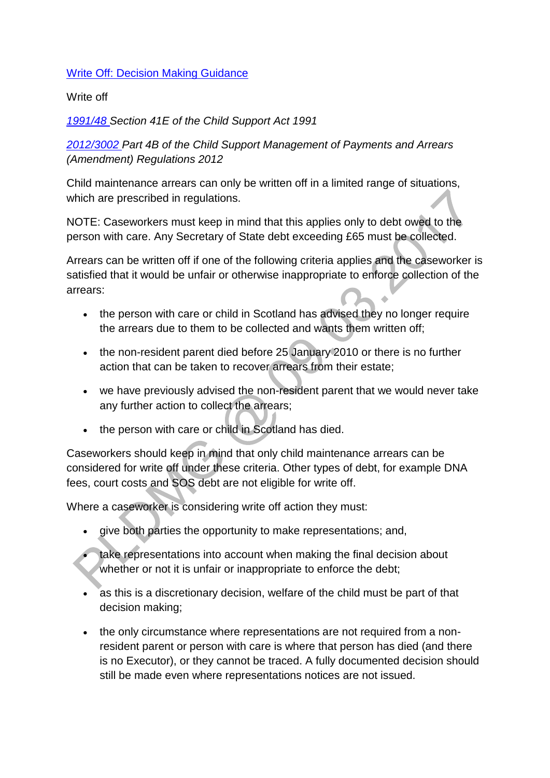### [Write Off: Decision Making Guidance](http://np-cmg-sharepoint.link2.gpn.gov.uk/sites/policy-law-and-decision-making-guidance/Pages/Write-Off-and-Case-Closure-Write-Off.aspx)

#### Write off

*[1991/48 S](http://www.legislation.gov.uk/ukpga/1991/48)ection 41E of the Child Support Act 1991*

*[2012/3002 P](http://www.legislation.gov.uk/uksi/2012/3002/contents/made)art 4B of the Child Support Management of Payments and Arrears (Amendment) Regulations 2012* 

Child maintenance arrears can only be written off in a limited range of situations, which are prescribed in regulations.

NOTE: Caseworkers must keep in mind that this applies only to debt owed to the person with care. Any Secretary of State debt exceeding £65 must be collected.

Arrears can be written off if one of the following criteria applies and the caseworker is satisfied that it would be unfair or otherwise inappropriate to enforce collection of the arrears:

- the person with care or child in Scotland has advised they no longer require the arrears due to them to be collected and wants them written off;
- the non-resident parent died before 25 January 2010 or there is no further action that can be taken to recover arrears from their estate;
- we have previously advised the non-resident parent that we would never take any further action to collect the arrears;
- the person with care or child in Scotland has died.

Caseworkers should keep in mind that only child maintenance arrears can be considered for write off under these criteria. Other types of debt, for example DNA fees, court costs and SOS debt are not eligible for write off.

Where a caseworker is considering write off action they must:

- give both parties the opportunity to make representations; and,
- take representations into account when making the final decision about whether or not it is unfair or inappropriate to enforce the debt;
- as this is a discretionary decision, welfare of the child must be part of that decision making;
- the only circumstance where representations are not required from a nonresident parent or person with care is where that person has died (and there is no Executor), or they cannot be traced. A fully documented decision should still be made even where representations notices are not issued.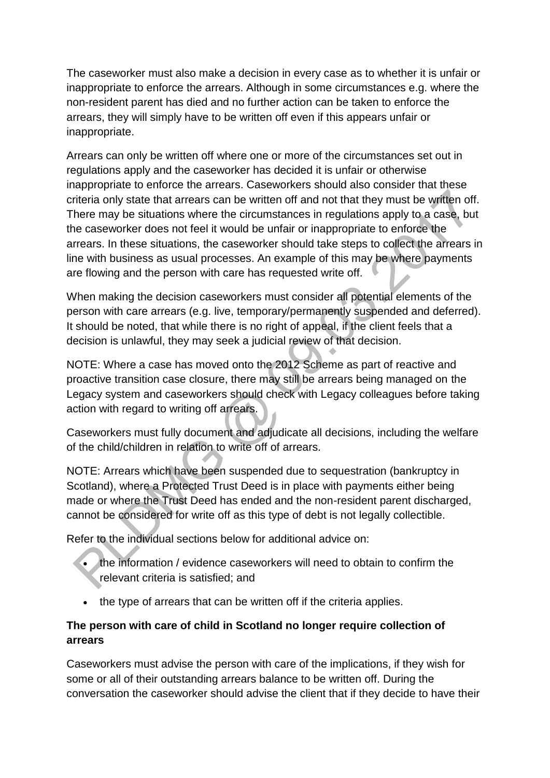The caseworker must also make a decision in every case as to whether it is unfair or inappropriate to enforce the arrears. Although in some circumstances e.g. where the non-resident parent has died and no further action can be taken to enforce the arrears, they will simply have to be written off even if this appears unfair or inappropriate.

Arrears can only be written off where one or more of the circumstances set out in regulations apply and the caseworker has decided it is unfair or otherwise inappropriate to enforce the arrears. Caseworkers should also consider that these criteria only state that arrears can be written off and not that they must be written off. There may be situations where the circumstances in regulations apply to a case, but the caseworker does not feel it would be unfair or inappropriate to enforce the arrears. In these situations, the caseworker should take steps to collect the arrears in line with business as usual processes. An example of this may be where payments are flowing and the person with care has requested write off.

When making the decision caseworkers must consider all potential elements of the person with care arrears (e.g. live, temporary/permanently suspended and deferred). It should be noted, that while there is no right of appeal, if the client feels that a decision is unlawful, they may seek a judicial review of that decision.

NOTE: Where a case has moved onto the 2012 Scheme as part of reactive and proactive transition case closure, there may still be arrears being managed on the Legacy system and caseworkers should check with Legacy colleagues before taking action with regard to writing off arrears.

Caseworkers must fully document and adjudicate all decisions, including the welfare of the child/children in relation to write off of arrears.

NOTE: Arrears which have been suspended due to sequestration (bankruptcy in Scotland), where a Protected Trust Deed is in place with payments either being made or where the Trust Deed has ended and the non-resident parent discharged, cannot be considered for write off as this type of debt is not legally collectible.

Refer to the individual sections below for additional advice on:

- the information / evidence caseworkers will need to obtain to confirm the relevant criteria is satisfied; and
- the type of arrears that can be written off if the criteria applies.

# **The person with care of child in Scotland no longer require collection of arrears**

Caseworkers must advise the person with care of the implications, if they wish for some or all of their outstanding arrears balance to be written off. During the conversation the caseworker should advise the client that if they decide to have their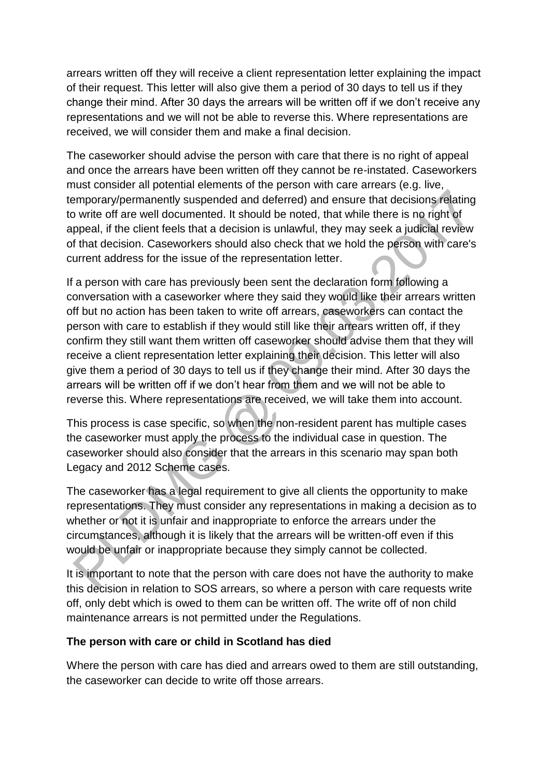arrears written off they will receive a client representation letter explaining the impact of their request. This letter will also give them a period of 30 days to tell us if they change their mind. After 30 days the arrears will be written off if we don't receive any representations and we will not be able to reverse this. Where representations are received, we will consider them and make a final decision.

The caseworker should advise the person with care that there is no right of appeal and once the arrears have been written off they cannot be re-instated. Caseworkers must consider all potential elements of the person with care arrears (e.g. live, temporary/permanently suspended and deferred) and ensure that decisions relating to write off are well documented. It should be noted, that while there is no right of appeal, if the client feels that a decision is unlawful, they may seek a judicial review of that decision. Caseworkers should also check that we hold the person with care's current address for the issue of the representation letter.

If a person with care has previously been sent the declaration form following a conversation with a caseworker where they said they would like their arrears written off but no action has been taken to write off arrears, caseworkers can contact the person with care to establish if they would still like their arrears written off, if they confirm they still want them written off caseworker should advise them that they will receive a client representation letter explaining their decision. This letter will also give them a period of 30 days to tell us if they change their mind. After 30 days the arrears will be written off if we don't hear from them and we will not be able to reverse this. Where representations are received, we will take them into account.

This process is case specific, so when the non-resident parent has multiple cases the caseworker must apply the process to the individual case in question. The caseworker should also consider that the arrears in this scenario may span both Legacy and 2012 Scheme cases.

The caseworker has a legal requirement to give all clients the opportunity to make representations. They must consider any representations in making a decision as to whether or not it is unfair and inappropriate to enforce the arrears under the circumstances, although it is likely that the arrears will be written-off even if this would be unfair or inappropriate because they simply cannot be collected.

It is important to note that the person with care does not have the authority to make this decision in relation to SOS arrears, so where a person with care requests write off, only debt which is owed to them can be written off. The write off of non child maintenance arrears is not permitted under the Regulations.

### **The person with care or child in Scotland has died**

Where the person with care has died and arrears owed to them are still outstanding, the caseworker can decide to write off those arrears.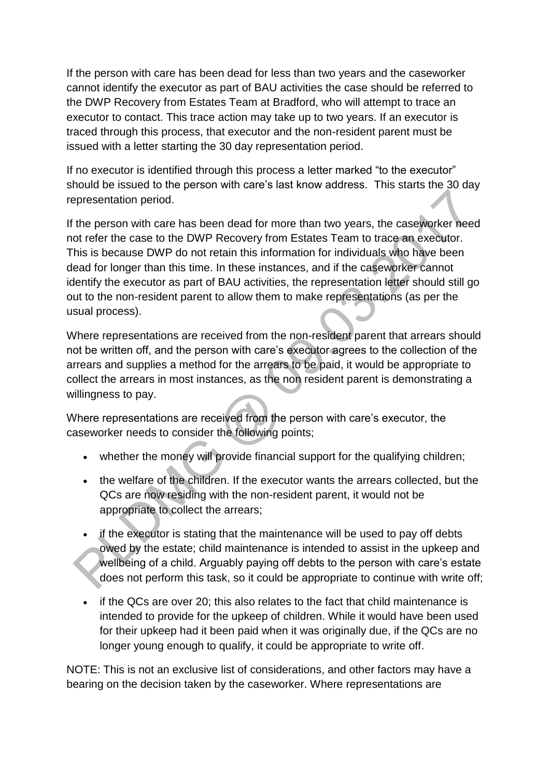If the person with care has been dead for less than two years and the caseworker cannot identify the executor as part of BAU activities the case should be referred to the DWP Recovery from Estates Team at Bradford, who will attempt to trace an executor to contact. This trace action may take up to two years. If an executor is traced through this process, that executor and the non-resident parent must be issued with a letter starting the 30 day representation period.

If no executor is identified through this process a letter marked "to the executor" should be issued to the person with care's last know address. This starts the 30 day representation period.

If the person with care has been dead for more than two years, the caseworker need not refer the case to the DWP Recovery from Estates Team to trace an executor. This is because DWP do not retain this information for individuals who have been dead for longer than this time. In these instances, and if the caseworker cannot identify the executor as part of BAU activities, the representation letter should still go out to the non-resident parent to allow them to make representations (as per the usual process).

Where representations are received from the non-resident parent that arrears should not be written off, and the person with care's executor agrees to the collection of the arrears and supplies a method for the arrears to be paid, it would be appropriate to collect the arrears in most instances, as the non resident parent is demonstrating a willingness to pay.

Where representations are received from the person with care's executor, the caseworker needs to consider the following points;

- whether the money will provide financial support for the qualifying children;
- the welfare of the children. If the executor wants the arrears collected, but the QCs are now residing with the non-resident parent, it would not be appropriate to collect the arrears;
- if the executor is stating that the maintenance will be used to pay off debts owed by the estate; child maintenance is intended to assist in the upkeep and wellbeing of a child. Arguably paying off debts to the person with care's estate does not perform this task, so it could be appropriate to continue with write off;
- if the QCs are over 20; this also relates to the fact that child maintenance is intended to provide for the upkeep of children. While it would have been used for their upkeep had it been paid when it was originally due, if the QCs are no longer young enough to qualify, it could be appropriate to write off.

NOTE: This is not an exclusive list of considerations, and other factors may have a bearing on the decision taken by the caseworker. Where representations are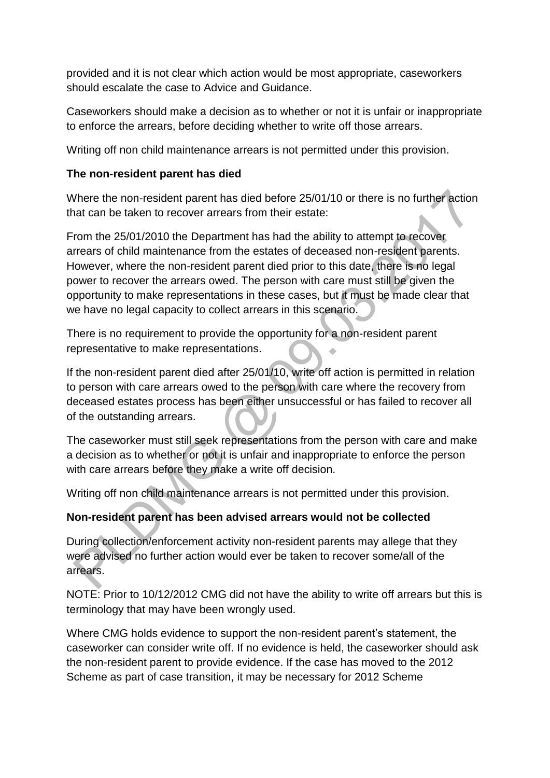provided and it is not clear which action would be most appropriate, caseworkers should escalate the case to Advice and Guidance.

Caseworkers should make a decision as to whether or not it is unfair or inappropriate to enforce the arrears, before deciding whether to write off those arrears.

Writing off non child maintenance arrears is not permitted under this provision.

## **The non-resident parent has died**

Where the non-resident parent has died before 25/01/10 or there is no further action that can be taken to recover arrears from their estate:

From the 25/01/2010 the Department has had the ability to attempt to recover arrears of child maintenance from the estates of deceased non-resident parents. However, where the non-resident parent died prior to this date, there is no legal power to recover the arrears owed. The person with care must still be given the opportunity to make representations in these cases, but it must be made clear that we have no legal capacity to collect arrears in this scenario.

There is no requirement to provide the opportunity for a non-resident parent representative to make representations.

If the non-resident parent died after 25/01/10, write off action is permitted in relation to person with care arrears owed to the person with care where the recovery from deceased estates process has been either unsuccessful or has failed to recover all of the outstanding arrears.

The caseworker must still seek representations from the person with care and make a decision as to whether or not it is unfair and inappropriate to enforce the person with care arrears before they make a write off decision.

Writing off non child maintenance arrears is not permitted under this provision.

## **Non-resident parent has been advised arrears would not be collected**

During collection/enforcement activity non-resident parents may allege that they were advised no further action would ever be taken to recover some/all of the arrears.

NOTE: Prior to 10/12/2012 CMG did not have the ability to write off arrears but this is terminology that may have been wrongly used.

Where CMG holds evidence to support the non-resident parent's statement, the caseworker can consider write off. If no evidence is held, the caseworker should ask the non-resident parent to provide evidence. If the case has moved to the 2012 Scheme as part of case transition, it may be necessary for 2012 Scheme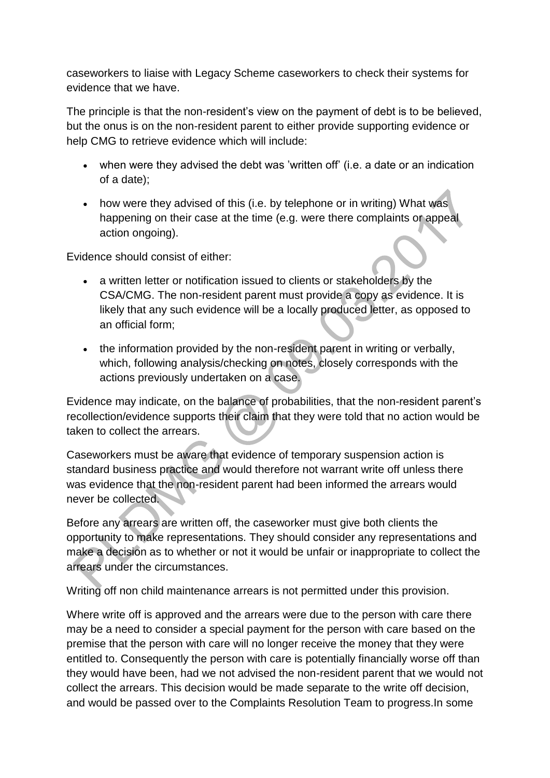caseworkers to liaise with Legacy Scheme caseworkers to check their systems for evidence that we have.

The principle is that the non-resident's view on the payment of debt is to be believed, but the onus is on the non-resident parent to either provide supporting evidence or help CMG to retrieve evidence which will include:

- when were they advised the debt was 'written off' (i.e. a date or an indication of a date);
- how were they advised of this (i.e. by telephone or in writing) What was happening on their case at the time (e.g. were there complaints or appeal action ongoing).

Evidence should consist of either:

- a written letter or notification issued to clients or stakeholders by the CSA/CMG. The non-resident parent must provide a copy as evidence. It is likely that any such evidence will be a locally produced letter, as opposed to an official form;
- the information provided by the non-resident parent in writing or verbally, which, following analysis/checking on notes, closely corresponds with the actions previously undertaken on a case.

Evidence may indicate, on the balance of probabilities, that the non-resident parent's recollection/evidence supports their claim that they were told that no action would be taken to collect the arrears.

Caseworkers must be aware that evidence of temporary suspension action is standard business practice and would therefore not warrant write off unless there was evidence that the non-resident parent had been informed the arrears would never be collected.

Before any arrears are written off, the caseworker must give both clients the opportunity to make representations. They should consider any representations and make a decision as to whether or not it would be unfair or inappropriate to collect the arrears under the circumstances.

Writing off non child maintenance arrears is not permitted under this provision.

Where write off is approved and the arrears were due to the person with care there may be a need to consider a special payment for the person with care based on the premise that the person with care will no longer receive the money that they were entitled to. Consequently the person with care is potentially financially worse off than they would have been, had we not advised the non-resident parent that we would not collect the arrears. This decision would be made separate to the write off decision, and would be passed over to the Complaints Resolution Team to progress.In some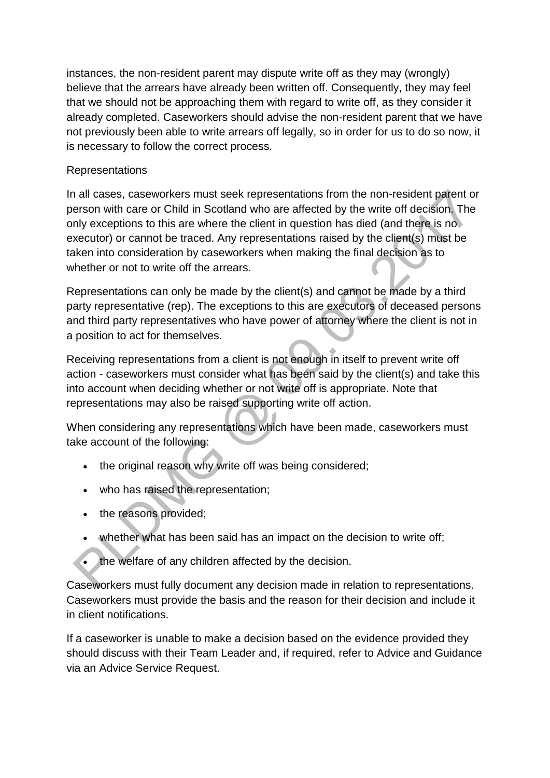instances, the non-resident parent may dispute write off as they may (wrongly) believe that the arrears have already been written off. Consequently, they may feel that we should not be approaching them with regard to write off, as they consider it already completed. Caseworkers should advise the non-resident parent that we have not previously been able to write arrears off legally, so in order for us to do so now, it is necessary to follow the correct process.

## Representations

In all cases, caseworkers must seek representations from the non-resident parent or person with care or Child in Scotland who are affected by the write off decision. The only exceptions to this are where the client in question has died (and there is no executor) or cannot be traced. Any representations raised by the client(s) must be taken into consideration by caseworkers when making the final decision as to whether or not to write off the arrears.

Representations can only be made by the client(s) and cannot be made by a third party representative (rep). The exceptions to this are executors of deceased persons and third party representatives who have power of attorney where the client is not in a position to act for themselves.

Receiving representations from a client is not enough in itself to prevent write off action - caseworkers must consider what has been said by the client(s) and take this into account when deciding whether or not write off is appropriate. Note that representations may also be raised supporting write off action.

When considering any representations which have been made, caseworkers must take account of the following:

- the original reason why write off was being considered;
- who has raised the representation;
- the reasons provided;
- whether what has been said has an impact on the decision to write off;
- the welfare of any children affected by the decision.

Caseworkers must fully document any decision made in relation to representations. Caseworkers must provide the basis and the reason for their decision and include it in client notifications.

If a caseworker is unable to make a decision based on the evidence provided they should discuss with their Team Leader and, if required, refer to Advice and Guidance via an Advice Service Request.